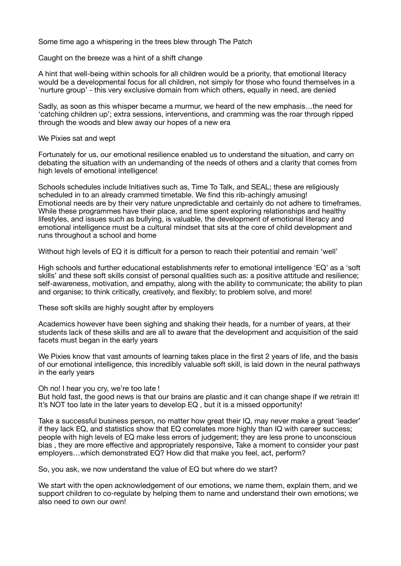Some time ago a whispering in the trees blew through The Patch

Caught on the breeze was a hint of a shift change

A hint that well-being within schools for all children would be a priority, that emotional literacy would be a developmental focus for all children, not simply for those who found themselves in a 'nurture group' - this very exclusive domain from which others, equally in need, are denied

Sadly, as soon as this whisper became a murmur, we heard of the new emphasis…the need for 'catching children up'; extra sessions, interventions, and cramming was the roar through ripped through the woods and blew away our hopes of a new era

We Pixies sat and wept

Fortunately for us, our emotional resilience enabled us to understand the situation, and carry on debating the situation with an undemanding of the needs of others and a clarity that comes from high levels of emotional intelligence!

Schools schedules include Initiatives such as, Time To Talk, and SEAL; these are religiously scheduled in to an already crammed timetable. We find this rib-achingly amusing! Emotional needs are by their very nature unpredictable and certainly do not adhere to timeframes. While these programmes have their place, and time spent exploring relationships and healthy lifestyles, and issues such as bullying, is valuable, the development of emotional literacy and emotional intelligence must be a cultural mindset that sits at the core of child development and runs throughout a school and home

Without high levels of EQ it is difficult for a person to reach their potential and remain 'well'

High schools and further educational establishments refer to emotional intelligence 'EQ' as a 'soft skills' and these soft skills consist of personal qualities such as: a positive attitude and resilience; self-awareness, motivation, and empathy, along with the ability to communicate; the ability to plan and organise; to think critically, creatively, and flexibly; to problem solve, and more!

These soft skills are highly sought after by employers

Academics however have been sighing and shaking their heads, for a number of years, at their students lack of these skills and are all to aware that the development and acquisition of the said facets must began in the early years

We Pixies know that vast amounts of learning takes place in the first 2 years of life, and the basis of our emotional intelligence, this incredibly valuable soft skill, is laid down in the neural pathways in the early years

Oh no! I hear you cry, we're too late !

But hold fast, the good news is that our brains are plastic and it can change shape if we retrain it! It's NOT too late in the later years to develop EQ , but it is a missed opportunity!

Take a successful business person, no matter how great their IQ, may never make a great 'leader' if they lack EQ, and statistics show that EQ correlates more highly than IQ with career success; people with high levels of EQ make less errors of judgement; they are less prone to unconscious bias , they are more effective and appropriately responsive, Take a moment to consider your past employers…which demonstrated EQ? How did that make you feel, act, perform?

So, you ask, we now understand the value of EQ but where do we start?

We start with the open acknowledgement of our emotions, we name them, explain them, and we support children to co-regulate by helping them to name and understand their own emotions; we also need to own our own!